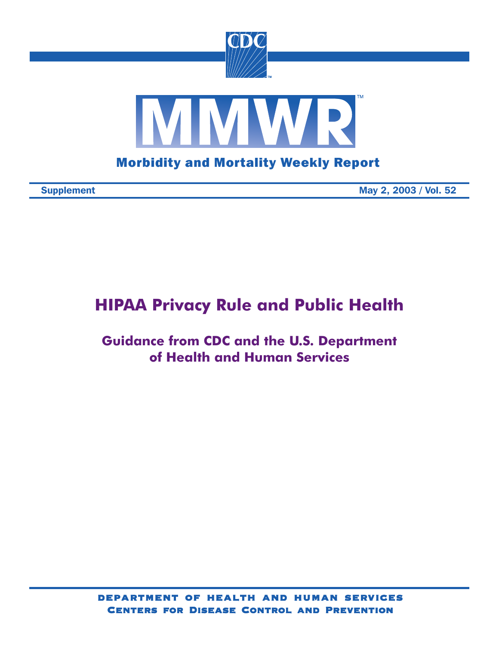

| May 2, 2003 / Vol. 52<br><b>Supplement</b> |  |
|--------------------------------------------|--|
|--------------------------------------------|--|

# **HIPAA Privacy Rule and Public Health**

# **Guidance from CDC and the U.S. Department of Health and Human Services**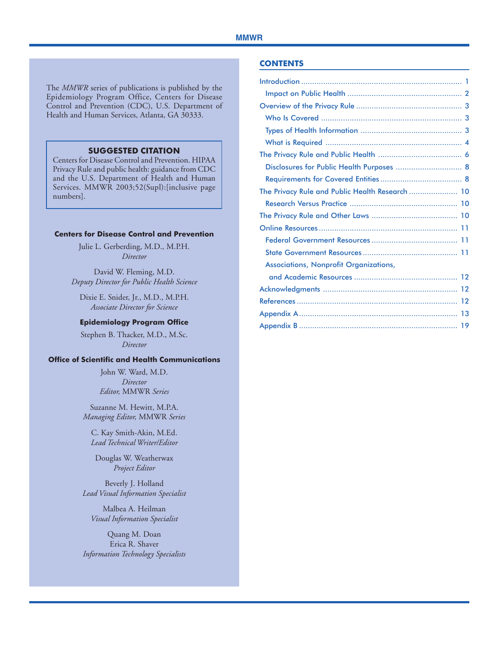### **MMWR**

The *MMWR* series of publications is published by the Epidemiology Program Office, Centers for Disease Control and Prevention (CDC), U.S. Department of Health and Human Services, Atlanta, GA 30333.

#### **SUGGESTED CITATION**

Centers for Disease Control and Prevention. HIPAA Privacy Rule and public health: guidance from CDC and the U.S. Department of Health and Human Services. MMWR 2003;52(Supl):[inclusive page numbers].

#### **Centers for Disease Control and Prevention**

Julie L. Gerberding, M.D., M.P.H. *Director*

David W. Fleming, M.D. *Deputy Director for Public Health Science*

Dixie E. Snider, Jr., M.D., M.P.H. *Associate Director for Science*

#### **Epidemiology Program Office**

Stephen B. Thacker, M.D., M.Sc. *Director*

### **Office of Scientific and Health Communications**

John W. Ward, M.D. *Director Editor,* MMWR *Series*

Suzanne M. Hewitt, M.P.A. *Managing Editor,* MMWR *Series*

C. Kay Smith-Akin, M.Ed. *Lead Technical Writer/Editor*

Douglas W. Weatherwax *Project Editor*

Beverly J. Holland *Lead Visual Information Specialist*

Malbea A. Heilman *Visual Information Specialist*

Quang M. Doan Erica R. Shaver *Information Technology Specialists*

#### **CONTENTS**

| Disclosures for Public Health Purposes  8       |  |
|-------------------------------------------------|--|
|                                                 |  |
| The Privacy Rule and Public Health Research  10 |  |
|                                                 |  |
|                                                 |  |
|                                                 |  |
|                                                 |  |
|                                                 |  |
| Associations, Nonprofit Organizations,          |  |
|                                                 |  |
|                                                 |  |
|                                                 |  |
|                                                 |  |
|                                                 |  |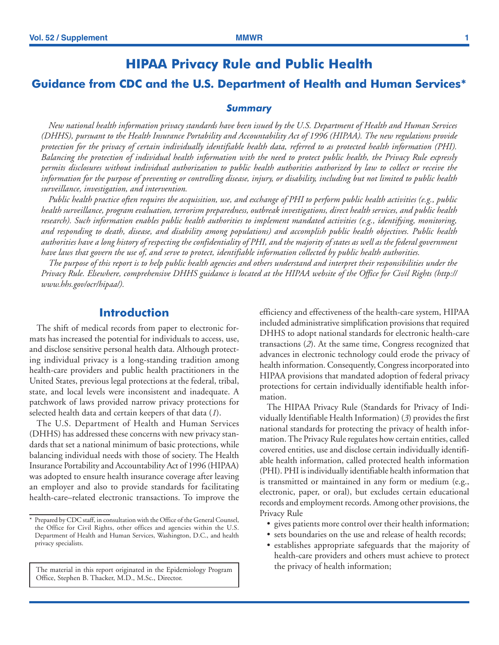# **HIPAA Privacy Rule and Public Health**

# <span id="page-2-0"></span>**Guidance from CDC and the U.S. Department of Health and Human Services\***

### *Summary*

*New national health information privacy standards have been issued by the U.S. Department of Health and Human Services (DHHS), pursuant to the Health Insurance Portability and Accountability Act of 1996 (HIPAA). The new regulations provide protection for the privacy of certain individually identifiable health data, referred to as protected health information (PHI). Balancing the protection of individual health information with the need to protect public health, the Privacy Rule expressly permits disclosures without individual authorization to public health authorities authorized by law to collect or receive the information for the purpose of preventing or controlling disease, injury, or disability, including but not limited to public health surveillance, investigation, and intervention.*

*Public health practice often requires the acquisition, use, and exchange of PHI to perform public health activities (e.g., public health surveillance, program evaluation, terrorism preparedness, outbreak investigations, direct health services, and public health research). Such information enables public health authorities to implement mandated activities (e.g., identifying, monitoring, and responding to death, disease, and disability among populations) and accomplish public health objectives. Public health authorities have a long history of respecting the confidentiality of PHI, and the majority of states as well as the federal government have laws that govern the use of, and serve to protect, identifiable information collected by public health authorities.*

*The purpose of this report is to help public health agencies and others understand and interpret their responsibilities under the Privacy Rule. Elsewhere, comprehensive DHHS guidance is located at the HIPAA website of the Office for Civil Rights [\(http://](http://www.hhs.gov/ocr/hipaa/) [www.hhs.gov/ocr/hipaa/\).](http://www.hhs.gov/ocr/hipaa/)*

### **Introduction**

The shift of medical records from paper to electronic formats has increased the potential for individuals to access, use, and disclose sensitive personal health data. Although protecting individual privacy is a long-standing tradition among health-care providers and public health practitioners in the United States, previous legal protections at the federal, tribal, state, and local levels were inconsistent and inadequate. A patchwork of laws provided narrow privacy protections for selected health data and certain keepers of that data (*1*).

The U.S. Department of Health and Human Services (DHHS) has addressed these concerns with new privacy standards that set a national minimum of basic protections, while balancing individual needs with those of society. The Health Insurance Portability and Accountability Act of 1996 (HIPAA) was adopted to ensure health insurance coverage after leaving an employer and also to provide standards for facilitating health-care–related electronic transactions. To improve the efficiency and effectiveness of the health-care system, HIPAA included administrative simplification provisions that required DHHS to adopt national standards for electronic health-care transactions (*2*). At the same time, Congress recognized that advances in electronic technology could erode the privacy of health information. Consequently, Congress incorporated into HIPAA provisions that mandated adoption of federal privacy protections for certain individually identifiable health information.

The HIPAA Privacy Rule (Standards for Privacy of Individually Identifiable Health Information) (*3*) provides the first national standards for protecting the privacy of health information. The Privacy Rule regulates how certain entities, called covered entities, use and disclose certain individually identifiable health information, called protected health information (PHI). PHI is individually identifiable health information that is transmitted or maintained in any form or medium (e.g., electronic, paper, or oral), but excludes certain educational records and employment records. Among other provisions, the Privacy Rule

- gives patients more control over their health information;
- sets boundaries on the use and release of health records;
- establishes appropriate safeguards that the majority of health-care providers and others must achieve to protect the privacy of health information;

<sup>\*</sup> Prepared by CDC staff, in consultation with the Office of the General Counsel, the Office for Civil Rights, other offices and agencies within the U.S. Department of Health and Human Services, Washington, D.C., and health privacy specialists.

The material in this report originated in the Epidemiology Program Office, Stephen B. Thacker, M.D., M.Sc., Director.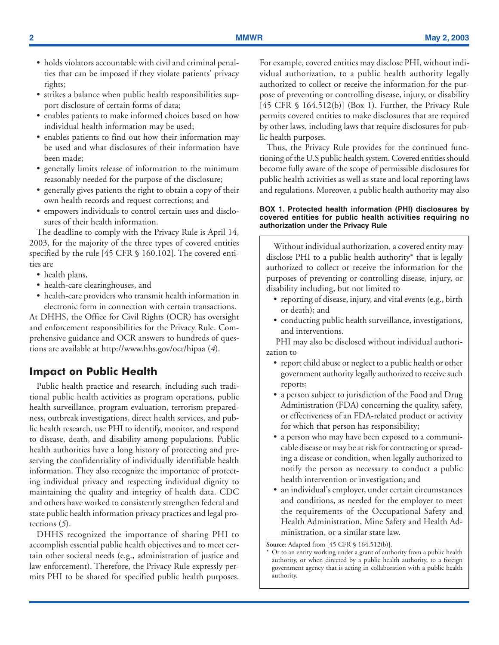- <span id="page-3-0"></span>• holds violators accountable with civil and criminal penalties that can be imposed if they violate patients' privacy rights;
- strikes a balance when public health responsibilities support disclosure of certain forms of data;
- enables patients to make informed choices based on how individual health information may be used;
- enables patients to find out how their information may be used and what disclosures of their information have been made;
- generally limits release of information to the minimum reasonably needed for the purpose of the disclosure;
- generally gives patients the right to obtain a copy of their own health records and request corrections; and
- empowers individuals to control certain uses and disclosures of their health information.

The deadline to comply with the Privacy Rule is April 14, 2003, for the majority of the three types of covered entities specified by the rule [45 CFR § 160.102]. The covered entities are

- health plans,
- health-care clearinghouses, and
- health-care providers who transmit health information in electronic form in connection with certain transactions.

At DHHS, the Office for Civil Rights (OCR) has oversight and enforcement responsibilities for the Privacy Rule. Comprehensive guidance and OCR answers to hundreds of questions are available a[t http://www.hhs.gov/ocr/hipaa \(](http://www.hhs.gov/ocr/hipaa)*4*).

# **Impact on Public Health**

Public health practice and research, including such traditional public health activities as program operations, public health surveillance, program evaluation, terrorism preparedness, outbreak investigations, direct health services, and public health research, use PHI to identify, monitor, and respond to disease, death, and disability among populations. Public health authorities have a long history of protecting and preserving the confidentiality of individually identifiable health information. They also recognize the importance of protecting individual privacy and respecting individual dignity to maintaining the quality and integrity of health data. CDC and others have worked to consistently strengthen federal and state public health information privacy practices and legal protections (*5*).

DHHS recognized the importance of sharing PHI to accomplish essential public health objectives and to meet certain other societal needs (e.g., administration of justice and law enforcement). Therefore, the Privacy Rule expressly permits PHI to be shared for specified public health purposes. For example, covered entities may disclose PHI, without individual authorization, to a public health authority legally authorized to collect or receive the information for the purpose of preventing or controlling disease, injury, or disability [45 CFR § 164.512(b)] (Box 1). Further, the Privacy Rule permits covered entities to make disclosures that are required by other laws, including laws that require disclosures for public health purposes.

Thus, the Privacy Rule provides for the continued functioning of the U.S public health system. Covered entities should become fully aware of the scope of permissible disclosures for public health activities as well as state and local reporting laws and regulations. Moreover, a public health authority may also

#### **BOX 1. Protected health information (PHI) disclosures by covered entities for public health activities requiring no authorization under the Privacy Rule**

Without individual authorization, a covered entity may disclose PHI to a public health authority\* that is legally authorized to collect or receive the information for the purposes of preventing or controlling disease, injury, or disability including, but not limited to

- reporting of disease, injury, and vital events (e.g., birth or death); and
- conducting public health surveillance, investigations, and interventions.

 PHI may also be disclosed without individual authorization to

- report child abuse or neglect to a public health or other government authority legally authorized to receive such reports;
- a person subject to jurisdiction of the Food and Drug Administration (FDA) concerning the quality, safety, or effectiveness of an FDA-related product or activity for which that person has responsibility;
- a person who may have been exposed to a communicable disease or may be at risk for contracting or spreading a disease or condition, when legally authorized to notify the person as necessary to conduct a public health intervention or investigation; and
- an individual's employer, under certain circumstances and conditions, as needed for the employer to meet the requirements of the Occupational Safety and Health Administration, Mine Safety and Health Administration, or a similar state law.

**Source**: Adapted from [45 CFR § 164.512(b)].

Or to an entity working under a grant of authority from a public health authority, or when directed by a public health authority, to a foreign government agency that is acting in collaboration with a public health authority.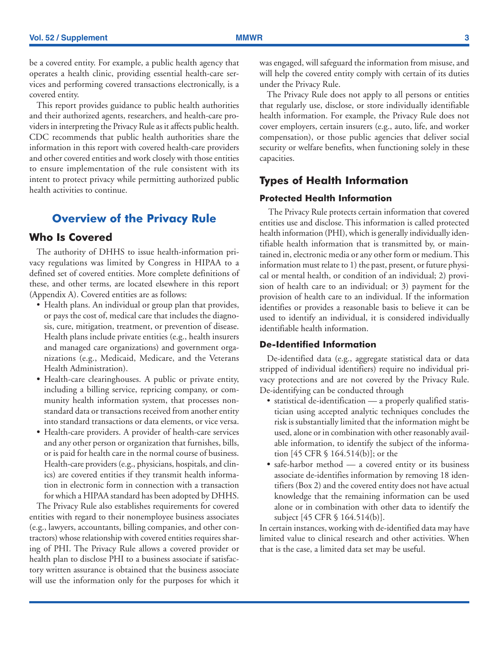<span id="page-4-0"></span>be a covered entity. For example, a public health agency that operates a health clinic, providing essential health-care services and performing covered transactions electronically, is a covered entity.

This report provides guidance to public health authorities and their authorized agents, researchers, and health-care providers in interpreting the Privacy Rule as it affects public health. CDC recommends that public health authorities share the information in this report with covered health-care providers and other covered entities and work closely with those entities to ensure implementation of the rule consistent with its intent to protect privacy while permitting authorized public health activities to continue.

# **Overview of the Privacy Rule**

### **Who Is Covered**

The authority of DHHS to issue health-information privacy regulations was limited by Congress in HIPAA to a defined set of covered entities. More complete definitions of these, and other terms, are located elsewhere in this report (Appendix A). Covered entities are as follows:

- Health plans. An individual or group plan that provides, or pays the cost of, medical care that includes the diagnosis, cure, mitigation, treatment, or prevention of disease. Health plans include private entities (e.g., health insurers and managed care organizations) and government organizations (e.g., Medicaid, Medicare, and the Veterans Health Administration).
- **•** Health-care clearinghouses. A public or private entity, including a billing service, repricing company, or community health information system, that processes nonstandard data or transactions received from another entity into standard transactions or data elements, or vice versa.
- **•** Health-care providers. A provider of health-care services and any other person or organization that furnishes, bills, or is paid for health care in the normal course of business. Health-care providers (e.g., physicians, hospitals, and clinics) are covered entities if they transmit health information in electronic form in connection with a transaction for which a HIPAA standard has been adopted by DHHS.

The Privacy Rule also establishes requirements for covered entities with regard to their nonemployee business associates (e.g., lawyers, accountants, billing companies, and other contractors) whose relationship with covered entities requires sharing of PHI. The Privacy Rule allows a covered provider or health plan to disclose PHI to a business associate if satisfactory written assurance is obtained that the business associate will use the information only for the purposes for which it was engaged, will safeguard the information from misuse, and will help the covered entity comply with certain of its duties under the Privacy Rule.

The Privacy Rule does not apply to all persons or entities that regularly use, disclose, or store individually identifiable health information. For example, the Privacy Rule does not cover employers, certain insurers (e.g., auto, life, and worker compensation), or those public agencies that deliver social security or welfare benefits, when functioning solely in these capacities.

### **Types of Health Information**

### **Protected Health Information**

 The Privacy Rule protects certain information that covered entities use and disclose. This information is called protected health information (PHI), which is generally individually identifiable health information that is transmitted by, or maintained in, electronic media or any other form or medium. This information must relate to 1) the past, present, or future physical or mental health, or condition of an individual; 2) provision of health care to an individual; or 3) payment for the provision of health care to an individual. If the information identifies or provides a reasonable basis to believe it can be used to identify an individual, it is considered individually identifiable health information.

### **De-Identified Information**

De-identified data (e.g., aggregate statistical data or data stripped of individual identifiers) require no individual privacy protections and are not covered by the Privacy Rule. De-identifying can be conducted through

- statistical de-identification a properly qualified statistician using accepted analytic techniques concludes the risk is substantially limited that the information might be used, alone or in combination with other reasonably available information, to identify the subject of the information [45 CFR § 164.514(b)]; or the
- **•** safe-harbor method a covered entity or its business associate de-identifies information by removing 18 identifiers (Box 2) and the covered entity does not have actual knowledge that the remaining information can be used alone or in combination with other data to identify the subject [45 CFR § 164.514(b)].

In certain instances, working with de-identified data may have limited value to clinical research and other activities. When that is the case, a limited data set may be useful.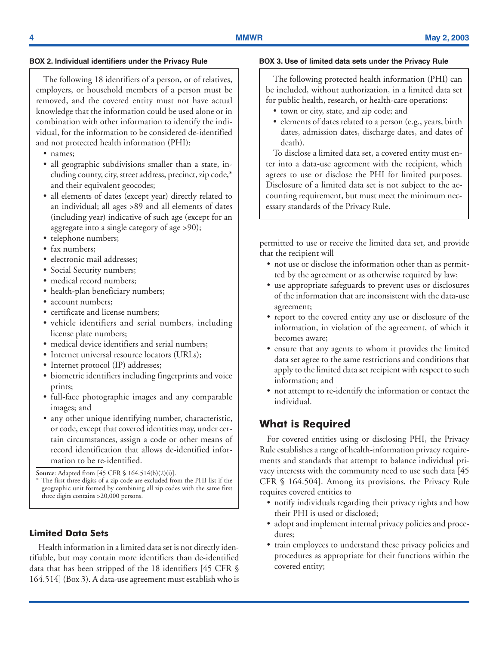#### <span id="page-5-0"></span>**BOX 2. Individual identifiers under the Privacy Rule**

The following 18 identifiers of a person, or of relatives, employers, or household members of a person must be removed, and the covered entity must not have actual knowledge that the information could be used alone or in combination with other information to identify the individual, for the information to be considered de-identified and not protected health information (PHI):

- names;
- all geographic subdivisions smaller than a state, including county, city, street address, precinct, zip code,\* and their equivalent geocodes;
- all elements of dates (except year) directly related to an individual; all ages >89 and all elements of dates (including year) indicative of such age (except for an aggregate into a single category of age >90);
- telephone numbers;
- fax numbers;
- electronic mail addresses;
- Social Security numbers;
- medical record numbers;
- health-plan beneficiary numbers;
- account numbers;
- certificate and license numbers;
- vehicle identifiers and serial numbers, including license plate numbers;
- medical device identifiers and serial numbers;
- Internet universal resource locators (URLs);
- Internet protocol (IP) addresses;
- biometric identifiers including fingerprints and voice prints;
- full-face photographic images and any comparable images; and
- any other unique identifying number, characteristic, or code, except that covered identities may, under certain circumstances, assign a code or other means of record identification that allows de-identified information to be re-identified.

**Source**: Adapted from [45 CFR § 164.514(b)(2)(i)].

\* The first three digits of a zip code are excluded from the PHI list if the geographic unit formed by combining all zip codes with the same first three digits contains >20,000 persons.

### **Limited Data Sets**

 Health information in a limited data set is not directly identifiable, but may contain more identifiers than de-identified data that has been stripped of the 18 identifiers [45 CFR § 164.514] (Box 3). A data-use agreement must establish who is

### **BOX 3. Use of limited data sets under the Privacy Rule**

The following protected health information (PHI) can be included, without authorization, in a limited data set for public health, research, or health-care operations:

- town or city, state, and zip code; and
- elements of dates related to a person (e.g., years, birth dates, admission dates, discharge dates, and dates of death).

To disclose a limited data set, a covered entity must enter into a data-use agreement with the recipient, which agrees to use or disclose the PHI for limited purposes. Disclosure of a limited data set is not subject to the accounting requirement, but must meet the minimum necessary standards of the Privacy Rule.

permitted to use or receive the limited data set, and provide that the recipient will

- not use or disclose the information other than as permitted by the agreement or as otherwise required by law;
- use appropriate safeguards to prevent uses or disclosures of the information that are inconsistent with the data-use agreement;
- report to the covered entity any use or disclosure of the information, in violation of the agreement, of which it becomes aware;
- ensure that any agents to whom it provides the limited data set agree to the same restrictions and conditions that apply to the limited data set recipient with respect to such information; and
- not attempt to re-identify the information or contact the individual.

# **What is Required**

For covered entities using or disclosing PHI, the Privacy Rule establishes a range of health-information privacy requirements and standards that attempt to balance individual privacy interests with the community need to use such data [45 CFR § 164.504]. Among its provisions, the Privacy Rule requires covered entities to

- notify individuals regarding their privacy rights and how their PHI is used or disclosed;
- adopt and implement internal privacy policies and procedures;
- train employees to understand these privacy policies and procedures as appropriate for their functions within the covered entity;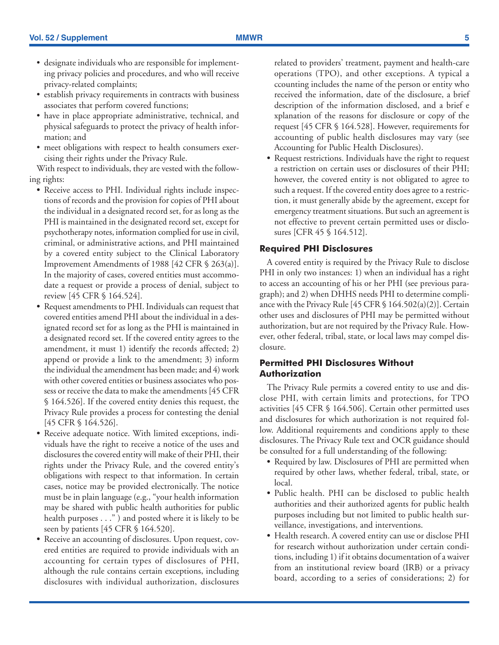- designate individuals who are responsible for implementing privacy policies and procedures, and who will receive privacy-related complaints;
- establish privacy requirements in contracts with business associates that perform covered functions;
- have in place appropriate administrative, technical, and physical safeguards to protect the privacy of health information; and
- meet obligations with respect to health consumers exercising their rights under the Privacy Rule.

With respect to individuals, they are vested with the following rights:

- **•** Receive access to PHI. Individual rights include inspections of records and the provision for copies of PHI about the individual in a designated record set, for as long as the PHI is maintained in the designated record set, except for psychotherapy notes, information complied for use in civil, criminal, or administrative actions, and PHI maintained by a covered entity subject to the Clinical Laboratory Improvement Amendments of 1988 [42 CFR § 263(a)]. In the majority of cases, covered entities must accommodate a request or provide a process of denial, subject to review [45 CFR § 164.524].
- **•** Request amendments to PHI. Individuals can request that covered entities amend PHI about the individual in a designated record set for as long as the PHI is maintained in a designated record set. If the covered entity agrees to the amendment, it must 1) identify the records affected; 2) append or provide a link to the amendment; 3) inform the individual the amendment has been made; and 4) work with other covered entities or business associates who possess or receive the data to make the amendments [45 CFR § 164.526]. If the covered entity denies this request, the Privacy Rule provides a process for contesting the denial [45 CFR § 164.526].
- **•** Receive adequate notice. With limited exceptions, individuals have the right to receive a notice of the uses and disclosures the covered entity will make of their PHI, their rights under the Privacy Rule, and the covered entity's obligations with respect to that information. In certain cases, notice may be provided electronically. The notice must be in plain language (e.g., "your health information may be shared with public health authorities for public health purposes . . ." ) and posted where it is likely to be seen by patients [45 CFR § 164.520].
- **•** Receive an accounting of disclosures. Upon request, covered entities are required to provide individuals with an accounting for certain types of disclosures of PHI, although the rule contains certain exceptions, including disclosures with individual authorization, disclosures

related to providers' treatment, payment and health-care operations (TPO), and other exceptions. A typical a ccounting includes the name of the person or entity who received the information, date of the disclosure, a brief description of the information disclosed, and a brief e xplanation of the reasons for disclosure or copy of the request [45 CFR § 164.528]. However, requirements for accounting of public health disclosures may vary (see Accounting for Public Health Disclosures).

**•** Request restrictions. Individuals have the right to request a restriction on certain uses or disclosures of their PHI; however, the covered entity is not obligated to agree to such a request. If the covered entity does agree to a restriction, it must generally abide by the agreement, except for emergency treatment situations. But such an agreement is not effective to prevent certain permitted uses or disclosures [CFR 45 § 164.512].

### **Required PHI Disclosures**

A covered entity is required by the Privacy Rule to disclose PHI in only two instances: 1) when an individual has a right to access an accounting of his or her PHI (see previous paragraph); and 2) when DHHS needs PHI to determine compliance with the Privacy Rule [45 CFR § 164.502(a)(2)]. Certain other uses and disclosures of PHI may be permitted without authorization, but are not required by the Privacy Rule. However, other federal, tribal, state, or local laws may compel disclosure.

### **Permitted PHI Disclosures Without Authorization**

The Privacy Rule permits a covered entity to use and disclose PHI, with certain limits and protections, for TPO activities [45 CFR § 164.506]. Certain other permitted uses and disclosures for which authorization is not required follow. Additional requirements and conditions apply to these disclosures. The Privacy Rule text and OCR guidance should be consulted for a full understanding of the following:

- **•** Required by law. Disclosures of PHI are permitted when required by other laws, whether federal, tribal, state, or local.
- **•** Public health. PHI can be disclosed to public health authorities and their authorized agents for public health purposes including but not limited to public health surveillance, investigations, and interventions.
- **•** Health research. A covered entity can use or disclose PHI for research without authorization under certain conditions, including 1) if it obtains documentation of a waiver from an institutional review board (IRB) or a privacy board, according to a series of considerations; 2) for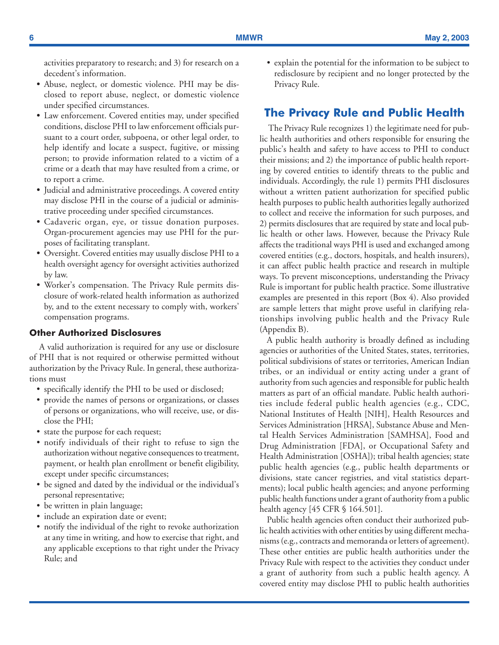<span id="page-7-0"></span>activities preparatory to research; and 3) for research on a decedent's information.

- **•** Abuse, neglect, or domestic violence. PHI may be disclosed to report abuse, neglect, or domestic violence under specified circumstances.
- **•** Law enforcement. Covered entities may, under specified conditions, disclose PHI to law enforcement officials pursuant to a court order, subpoena, or other legal order, to help identify and locate a suspect, fugitive, or missing person; to provide information related to a victim of a crime or a death that may have resulted from a crime, or to report a crime.
- **•** Judicial and administrative proceedings. A covered entity may disclose PHI in the course of a judicial or administrative proceeding under specified circumstances.
- **•** Cadaveric organ, eye, or tissue donation purposes. Organ-procurement agencies may use PHI for the purposes of facilitating transplant.
- **•** Oversight. Covered entities may usually disclose PHI to a health oversight agency for oversight activities authorized by law.
- **•** Worker's compensation. The Privacy Rule permits disclosure of work-related health information as authorized by, and to the extent necessary to comply with, workers' compensation programs.

#### **Other Authorized Disclosures**

 A valid authorization is required for any use or disclosure of PHI that is not required or otherwise permitted without authorization by the Privacy Rule. In general, these authorizations must

- specifically identify the PHI to be used or disclosed;
- provide the names of persons or organizations, or classes of persons or organizations, who will receive, use, or disclose the PHI;
- state the purpose for each request;
- notify individuals of their right to refuse to sign the authorization without negative consequences to treatment, payment, or health plan enrollment or benefit eligibility, except under specific circumstances;
- be signed and dated by the individual or the individual's personal representative;
- be written in plain language;
- include an expiration date or event;
- notify the individual of the right to revoke authorization at any time in writing, and how to exercise that right, and any applicable exceptions to that right under the Privacy Rule; and

• explain the potential for the information to be subject to redisclosure by recipient and no longer protected by the Privacy Rule.

# **The Privacy Rule and Public Health**

 The Privacy Rule recognizes 1) the legitimate need for public health authorities and others responsible for ensuring the public's health and safety to have access to PHI to conduct their missions; and 2) the importance of public health reporting by covered entities to identify threats to the public and individuals. Accordingly, the rule 1) permits PHI disclosures without a written patient authorization for specified public health purposes to public health authorities legally authorized to collect and receive the information for such purposes, and 2) permits disclosures that are required by state and local public health or other laws. However, because the Privacy Rule affects the traditional ways PHI is used and exchanged among covered entities (e.g., doctors, hospitals, and health insurers), it can affect public health practice and research in multiple ways. To prevent misconceptions, understanding the Privacy Rule is important for public health practice. Some illustrative examples are presented in this report (Box 4). Also provided are sample letters that might prove useful in clarifying relationships involving public health and the Privacy Rule (Appendix B).

A public health authority is broadly defined as including agencies or authorities of the United States, states, territories, political subdivisions of states or territories, American Indian tribes, or an individual or entity acting under a grant of authority from such agencies and responsible for public health matters as part of an official mandate. Public health authorities include federal public health agencies (e.g., CDC, National Institutes of Health [NIH], Health Resources and Services Administration [HRSA], Substance Abuse and Mental Health Services Administration [SAMHSA], Food and Drug Administration [FDA], or Occupational Safety and Health Administration [OSHA]); tribal health agencies; state public health agencies (e.g., public health departments or divisions, state cancer registries, and vital statistics departments); local public health agencies; and anyone performing public health functions under a grant of authority from a public health agency [45 CFR § 164.501].

Public health agencies often conduct their authorized public health activities with other entities by using different mechanisms (e.g., contracts and memoranda or letters of agreement). These other entities are public health authorities under the Privacy Rule with respect to the activities they conduct under a grant of authority from such a public health agency. A covered entity may disclose PHI to public health authorities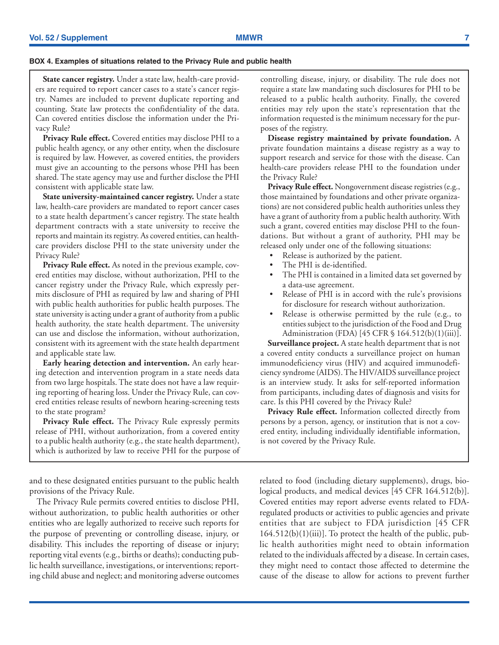#### **BOX 4. Examples of situations related to the Privacy Rule and public health**

**State cancer registry.** Under a state law, health-care providers are required to report cancer cases to a state's cancer registry. Names are included to prevent duplicate reporting and counting. State law protects the confidentiality of the data. Can covered entities disclose the information under the Privacy Rule?

**Privacy Rule effect.** Covered entities may disclose PHI to a public health agency, or any other entity, when the disclosure is required by law. However, as covered entities, the providers must give an accounting to the persons whose PHI has been shared. The state agency may use and further disclose the PHI consistent with applicable state law.

**State university-maintained cancer registry.** Under a state law, health-care providers are mandated to report cancer cases to a state health department's cancer registry. The state health department contracts with a state university to receive the reports and maintain its registry. As covered entities, can healthcare providers disclose PHI to the state university under the Privacy Rule?

**Privacy Rule effect.** As noted in the previous example, covered entities may disclose, without authorization, PHI to the cancer registry under the Privacy Rule, which expressly permits disclosure of PHI as required by law and sharing of PHI with public health authorities for public health purposes. The state university is acting under a grant of authority from a public health authority, the state health department. The university can use and disclose the information, without authorization, consistent with its agreement with the state health department and applicable state law.

**Early hearing detection and intervention.** An early hearing detection and intervention program in a state needs data from two large hospitals. The state does not have a law requiring reporting of hearing loss. Under the Privacy Rule, can covered entities release results of newborn hearing-screening tests to the state program?

**Privacy Rule effect.** The Privacy Rule expressly permits release of PHI, without authorization, from a covered entity to a public health authority (e.g., the state health department), which is authorized by law to receive PHI for the purpose of

and to these designated entities pursuant to the public health provisions of the Privacy Rule.

The Privacy Rule permits covered entities to disclose PHI, without authorization, to public health authorities or other entities who are legally authorized to receive such reports for the purpose of preventing or controlling disease, injury, or disability. This includes the reporting of disease or injury; reporting vital events (e.g., births or deaths); conducting public health surveillance, investigations, or interventions; reporting child abuse and neglect; and monitoring adverse outcomes

controlling disease, injury, or disability. The rule does not require a state law mandating such disclosures for PHI to be released to a public health authority. Finally, the covered entities may rely upon the state's representation that the information requested is the minimum necessary for the purposes of the registry.

**Disease registry maintained by private foundation.** A private foundation maintains a disease registry as a way to support research and service for those with the disease. Can health-care providers release PHI to the foundation under the Privacy Rule?

**Privacy Rule effect.** Nongovernment disease registries (e.g., those maintained by foundations and other private organizations) are not considered public health authorities unless they have a grant of authority from a public health authority. With such a grant, covered entities may disclose PHI to the foundations. But without a grant of authority, PHI may be released only under one of the following situations:

- Release is authorized by the patient.
- The PHI is de-identified.
- The PHI is contained in a limited data set governed by a data-use agreement.
- Release of PHI is in accord with the rule's provisions for disclosure for research without authorization.
- Release is otherwise permitted by the rule (e.g., to entities subject to the jurisdiction of the Food and Drug Administration (FDA) [45 CFR § 164.512(b)(1)(iii)].

**Surveillance project.** A state health department that is not a covered entity conducts a surveillance project on human immunodeficiency virus (HIV) and acquired immunodeficiency syndrome (AIDS). The HIV/AIDS surveillance project is an interview study. It asks for self-reported information from participants, including dates of diagnosis and visits for care. Is this PHI covered by the Privacy Rule?

**Privacy Rule effect.** Information collected directly from persons by a person, agency, or institution that is not a covered entity, including individually identifiable information, is not covered by the Privacy Rule.

related to food (including dietary supplements), drugs, biological products, and medical devices [45 CFR 164.512(b)]. Covered entities may report adverse events related to FDAregulated products or activities to public agencies and private entities that are subject to FDA jurisdiction [45 CFR  $164.512(b)(1)(iii)$ . To protect the health of the public, public health authorities might need to obtain information related to the individuals affected by a disease. In certain cases, they might need to contact those affected to determine the cause of the disease to allow for actions to prevent further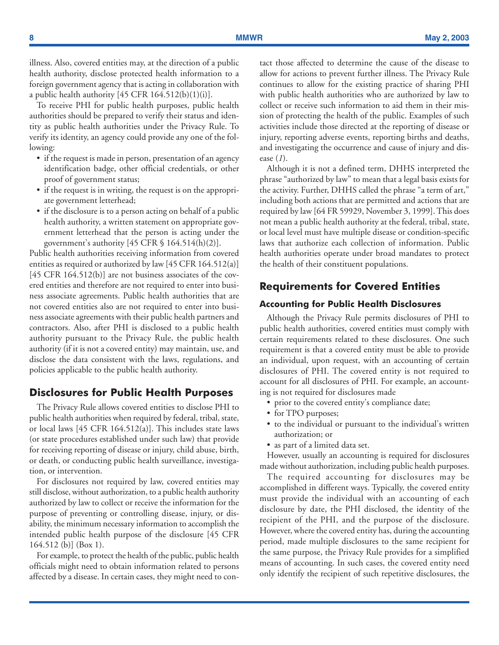<span id="page-9-0"></span>illness. Also, covered entities may, at the direction of a public health authority, disclose protected health information to a foreign government agency that is acting in collaboration with a public health authority  $[45 \text{ CFR } 164.512 \text{ (b)}(1) \text{ (i)}]$ .

To receive PHI for public health purposes, public health authorities should be prepared to verify their status and identity as public health authorities under the Privacy Rule. To verify its identity, an agency could provide any one of the following:

- if the request is made in person, presentation of an agency identification badge, other official credentials, or other proof of government status;
- if the request is in writing, the request is on the appropriate government letterhead;
- if the disclosure is to a person acting on behalf of a public health authority, a written statement on appropriate government letterhead that the person is acting under the government's authority  $[45 \text{ CFR } $164.514(h)(2)].$

Public health authorities receiving information from covered entities as required or authorized by law [45 CFR 164.512(a)] [45 CFR 164.512(b)] are not business associates of the covered entities and therefore are not required to enter into business associate agreements. Public health authorities that are not covered entities also are not required to enter into business associate agreements with their public health partners and contractors. Also, after PHI is disclosed to a public health authority pursuant to the Privacy Rule, the public health authority (if it is not a covered entity) may maintain, use, and disclose the data consistent with the laws, regulations, and policies applicable to the public health authority.

### **Disclosures for Public Health Purposes**

The Privacy Rule allows covered entities to disclose PHI to public health authorities when required by federal, tribal, state, or local laws [45 CFR 164.512(a)]. This includes state laws (or state procedures established under such law) that provide for receiving reporting of disease or injury, child abuse, birth, or death, or conducting public health surveillance, investigation, or intervention.

For disclosures not required by law, covered entities may still disclose, without authorization, to a public health authority authorized by law to collect or receive the information for the purpose of preventing or controlling disease, injury, or disability, the minimum necessary information to accomplish the intended public health purpose of the disclosure [45 CFR 164.512 (b)] (Box 1).

For example, to protect the health of the public, public health officials might need to obtain information related to persons affected by a disease. In certain cases, they might need to contact those affected to determine the cause of the disease to allow for actions to prevent further illness. The Privacy Rule continues to allow for the existing practice of sharing PHI with public health authorities who are authorized by law to collect or receive such information to aid them in their mission of protecting the health of the public. Examples of such activities include those directed at the reporting of disease or injury, reporting adverse events, reporting births and deaths, and investigating the occurrence and cause of injury and disease (*1*).

Although it is not a defined term, DHHS interpreted the phrase "authorized by law" to mean that a legal basis exists for the activity. Further, DHHS called the phrase "a term of art," including both actions that are permitted and actions that are required by law [64 FR 59929, November 3, 1999]. This does not mean a public health authority at the federal, tribal, state, or local level must have multiple disease or condition-specific laws that authorize each collection of information. Public health authorities operate under broad mandates to protect the health of their constituent populations.

### **Requirements for Covered Entities**

### **Accounting for Public Health Disclosures**

Although the Privacy Rule permits disclosures of PHI to public health authorities, covered entities must comply with certain requirements related to these disclosures. One such requirement is that a covered entity must be able to provide an individual, upon request, with an accounting of certain disclosures of PHI. The covered entity is not required to account for all disclosures of PHI. For example, an accounting is not required for disclosures made

- prior to the covered entity's compliance date;
- for TPO purposes;
- to the individual or pursuant to the individual's written authorization; or
- as part of a limited data set.

However, usually an accounting is required for disclosures made without authorization, including public health purposes.

The required accounting for disclosures may be accomplished in different ways. Typically, the covered entity must provide the individual with an accounting of each disclosure by date, the PHI disclosed, the identity of the recipient of the PHI, and the purpose of the disclosure. However, where the covered entity has, during the accounting period, made multiple disclosures to the same recipient for the same purpose, the Privacy Rule provides for a simplified means of accounting. In such cases, the covered entity need only identify the recipient of such repetitive disclosures, the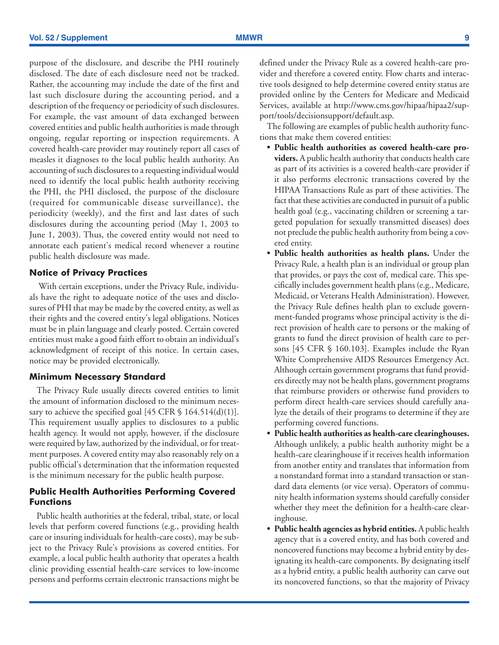purpose of the disclosure, and describe the PHI routinely disclosed. The date of each disclosure need not be tracked. Rather, the accounting may include the date of the first and last such disclosure during the accounting period, and a description of the frequency or periodicity of such disclosures. For example, the vast amount of data exchanged between covered entities and public health authorities is made through ongoing, regular reporting or inspection requirements. A covered health-care provider may routinely report all cases of measles it diagnoses to the local public health authority. An accounting of such disclosures to a requesting individual would need to identify the local public health authority receiving the PHI, the PHI disclosed, the purpose of the disclosure (required for communicable disease surveillance), the periodicity (weekly), and the first and last dates of such disclosures during the accounting period (May 1, 2003 to June 1, 2003). Thus, the covered entity would not need to annotate each patient's medical record whenever a routine public health disclosure was made.

### **Notice of Privacy Practices**

 With certain exceptions, under the Privacy Rule, individuals have the right to adequate notice of the uses and disclosures of PHI that may be made by the covered entity, as well as their rights and the covered entity's legal obligations. Notices must be in plain language and clearly posted. Certain covered entities must make a good faith effort to obtain an individual's acknowledgment of receipt of this notice. In certain cases, notice may be provided electronically.

### **Minimum Necessary Standard**

The Privacy Rule usually directs covered entities to limit the amount of information disclosed to the minimum necessary to achieve the specified goal  $[45 \text{ CFR } $164.514(d)(1)].$ This requirement usually applies to disclosures to a public health agency. It would not apply, however, if the disclosure were required by law, authorized by the individual, or for treatment purposes. A covered entity may also reasonably rely on a public official's determination that the information requested is the minimum necessary for the public health purpose.

### **Public Health Authorities Performing Covered Functions**

Public health authorities at the federal, tribal, state, or local levels that perform covered functions (e.g., providing health care or insuring individuals for health-care costs), may be subject to the Privacy Rule's provisions as covered entities. For example, a local public health authority that operates a health clinic providing essential health-care services to low-income persons and performs certain electronic transactions might be defined under the Privacy Rule as a covered health-care provider and therefore a covered entity. Flow charts and interactive tools designed to help determine covered entity status are provided online by the Centers for Medicare and Medicaid Services, available at [http://www.cms.gov/hipaa/hipaa2/sup](http://www.cms.gov/hipaa/hipaa2/support/tools/decisionsupport/default.asp)[port/tools/decisionsupport/default.asp.](http://www.cms.gov/hipaa/hipaa2/support/tools/decisionsupport/default.asp)

The following are examples of public health authority functions that make them covered entities:

- **• Public health authorities as covered health-care providers.** A public health authority that conducts health care as part of its activities is a covered health-care provider if it also performs electronic transactions covered by the HIPAA Transactions Rule as part of these activities. The fact that these activities are conducted in pursuit of a public health goal (e.g., vaccinating children or screening a targeted population for sexually transmitted diseases) does not preclude the public health authority from being a covered entity.
- **• Public health authorities as health plans.** Under the Privacy Rule, a health plan is an individual or group plan that provides, or pays the cost of, medical care. This specifically includes government health plans (e.g., Medicare, Medicaid, or Veterans Health Administration). However, the Privacy Rule defines health plan to exclude government-funded programs whose principal activity is the direct provision of health care to persons or the making of grants to fund the direct provision of health care to persons [45 CFR § 160.103]. Examples include the Ryan White Comprehensive AIDS Resources Emergency Act. Although certain government programs that fund providers directly may not be health plans, government programs that reimburse providers or otherwise fund providers to perform direct health-care services should carefully analyze the details of their programs to determine if they are performing covered functions.
- **• Public health authorities as health-care clearinghouses.** Although unlikely, a public health authority might be a health-care clearinghouse if it receives health information from another entity and translates that information from a nonstandard format into a standard transaction or standard data elements (or vice versa). Operators of community health information systems should carefully consider whether they meet the definition for a health-care clearinghouse.
- **• Public health agencies as hybrid entities.** A public health agency that is a covered entity, and has both covered and noncovered functions may become a hybrid entity by designating its health-care components. By designating itself as a hybrid entity, a public health authority can carve out its noncovered functions, so that the majority of Privacy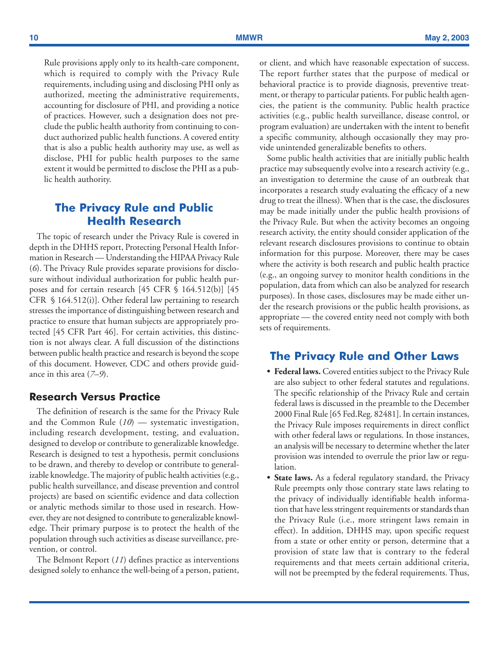<span id="page-11-0"></span>Rule provisions apply only to its health-care component, which is required to comply with the Privacy Rule requirements, including using and disclosing PHI only as authorized, meeting the administrative requirements, accounting for disclosure of PHI, and providing a notice of practices. However, such a designation does not preclude the public health authority from continuing to conduct authorized public health functions. A covered entity that is also a public health authority may use, as well as disclose, PHI for public health purposes to the same extent it would be permitted to disclose the PHI as a public health authority.

# **The Privacy Rule and Public Health Research**

The topic of research under the Privacy Rule is covered in depth in the DHHS report, Protecting Personal Health Information in Research — Understanding the HIPAA Privacy Rule (*6*). The Privacy Rule provides separate provisions for disclosure without individual authorization for public health purposes and for certain research [45 CFR § 164.512(b)] [45 CFR § 164.512(i)]. Other federal law pertaining to research stresses the importance of distinguishing between research and practice to ensure that human subjects are appropriately protected [45 CFR Part 46]. For certain activities, this distinction is not always clear. A full discussion of the distinctions between public health practice and research is beyond the scope of this document. However, CDC and others provide guidance in this area (*7–9*).

### **Research Versus Practice**

The definition of research is the same for the Privacy Rule and the Common Rule (*10*) — systematic investigation, including research development, testing, and evaluation, designed to develop or contribute to generalizable knowledge. Research is designed to test a hypothesis, permit conclusions to be drawn, and thereby to develop or contribute to generalizable knowledge. The majority of public health activities (e.g., public health surveillance, and disease prevention and control projects) are based on scientific evidence and data collection or analytic methods similar to those used in research. However, they are not designed to contribute to generalizable knowledge. Their primary purpose is to protect the health of the population through such activities as disease surveillance, prevention, or control.

The Belmont Report (*11*) defines practice as interventions designed solely to enhance the well-being of a person, patient, or client, and which have reasonable expectation of success. The report further states that the purpose of medical or behavioral practice is to provide diagnosis, preventive treatment, or therapy to particular patients. For public health agencies, the patient is the community. Public health practice activities (e.g., public health surveillance, disease control, or program evaluation) are undertaken with the intent to benefit a specific community, although occasionally they may provide unintended generalizable benefits to others.

Some public health activities that are initially public health practice may subsequently evolve into a research activity (e.g., an investigation to determine the cause of an outbreak that incorporates a research study evaluating the efficacy of a new drug to treat the illness). When that is the case, the disclosures may be made initially under the public health provisions of the Privacy Rule. But when the activity becomes an ongoing research activity, the entity should consider application of the relevant research disclosures provisions to continue to obtain information for this purpose. Moreover, there may be cases where the activity is both research and public health practice (e.g., an ongoing survey to monitor health conditions in the population, data from which can also be analyzed for research purposes). In those cases, disclosures may be made either under the research provisions or the public health provisions, as appropriate — the covered entity need not comply with both sets of requirements.

### **The Privacy Rule and Other Laws**

- **• Federal laws.** Covered entities subject to the Privacy Rule are also subject to other federal statutes and regulations. The specific relationship of the Privacy Rule and certain federal laws is discussed in the preamble to the December 2000 Final Rule [65 Fed.Reg. 82481]. In certain instances, the Privacy Rule imposes requirements in direct conflict with other federal laws or regulations. In those instances, an analysis will be necessary to determine whether the later provision was intended to overrule the prior law or regulation.
- **• State laws.** As a federal regulatory standard, the Privacy Rule preempts only those contrary state laws relating to the privacy of individually identifiable health information that have less stringent requirements or standards than the Privacy Rule (i.e., more stringent laws remain in effect). In addition, DHHS may, upon specific request from a state or other entity or person, determine that a provision of state law that is contrary to the federal requirements and that meets certain additional criteria, will not be preempted by the federal requirements. Thus,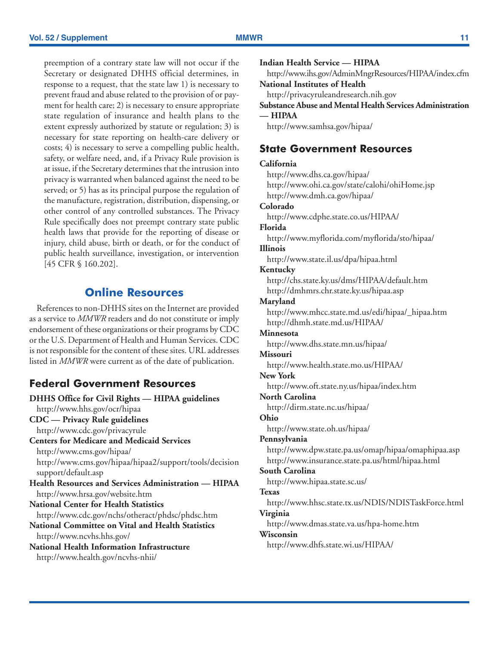<span id="page-12-0"></span>preemption of a contrary state law will not occur if the Secretary or designated DHHS official determines, in response to a request, that the state law 1) is necessary to prevent fraud and abuse related to the provision of or payment for health care; 2) is necessary to ensure appropriate state regulation of insurance and health plans to the extent expressly authorized by statute or regulation; 3) is necessary for state reporting on health-care delivery or costs; 4) is necessary to serve a compelling public health, safety, or welfare need, and, if a Privacy Rule provision is at issue, if the Secretary determines that the intrusion into privacy is warranted when balanced against the need to be served; or 5) has as its principal purpose the regulation of the manufacture, registration, distribution, dispensing, or other control of any controlled substances. The Privacy Rule specifically does not preempt contrary state public health laws that provide for the reporting of disease or injury, child abuse, birth or death, or for the conduct of public health surveillance, investigation, or intervention [45 CFR § 160.202].

# **Online Resources**

References to non-DHHS sites on the Internet are provided as a service to *MMWR* readers and do not constitute or imply endorsement of these organizations or their programs by CDC or the U.S. Department of Health and Human Services. CDC is not responsible for the content of these sites. URL addresses listed in *MMWR* were current as of the date of publication.

### **Federal Government Resources**

**DHHS Office for Civil Rights — HIPAA guidelines** <http://www.hhs.gov/ocr/hipaa> **CDC — Privacy Rule guidelines** <http://www.cdc.gov/privacyrule> **Centers for Medicare and Medicaid Services** <http://www.cms.gov/hipaa/> [http://www.cms.gov/hipaa/hipaa2/support/tools/decision](http://www.cms.gov/hipaa/hipaa2/support/tools/decisionsupport/default.asp) support/default.asp **Health Resources and Services Administration — HIPAA** <http://www.hrsa.gov/website.htm> **National Center for Health Statistics** <http://www.cdc.gov/nchs/otheract/phdsc/phdsc.htm> **National Committee on Vital and Health Statistics** <http://www.ncvhs.hhs.gov/> **National Health Information Infrastructure** <http://www.health.gov/ncvhs-nhii/>

#### **Indian Health Service — HIPAA**

<http://www.ihs.gov/AdminMngrResources/HIPAA/index.cfm> **National Institutes of Health**

<http://privacyruleandresearch.nih.gov>

**Substance Abuse and Mental Health Services Administration — HIPAA**

<http://www.samhsa.gov/hipaa/>

### **State Government Resources**

#### **California**

<http://www.dhs.ca.gov/hipaa/> <http://www.ohi.ca.gov/state/calohi/ohiHome.jsp> <http://www.dmh.ca.gov/hipaa/> **Colorado** <http://www.cdphe.state.co.us/HIPAA/> **Florida**

<http://www.myflorida.com/myflorida/sto/hipaa/>

### **Illinois**

<http://www.state.il.us/dpa/hipaa.html>

**Kentucky**

<http://chs.state.ky.us/dms/HIPAA/default.htm> <http://dmhmrs.chr.state.ky.us/hipaa.asp>

**Maryland**

[http://www.mhcc.state.md.us/edi/hipaa/\\_hipaa.htm](http://www.mhcc.state.md.us/edi/hipaa/_hipaa.htm) <http://dhmh.state.md.us/HIPAA/>

**Minnesota**

<http://www.dhs.state.mn.us/hipaa/>

#### **Missouri**

<http://www.health.state.mo.us/HIPAA/>

#### **New York**

<http://www.oft.state.ny.us/hipaa/index.htm>

### **North Carolina**

<http://dirm.state.nc.us/hipaa/>

#### **Ohio**

<http://www.state.oh.us/hipaa/>

### **Pennsylvania**

<http://www.dpw.state.pa.us/omap/hipaa/omaphipaa.asp> <http://www.insurance.state.pa.us/html/hipaa.html>

### **South Carolina**

<http://www.hipaa.state.sc.us/>

### **Texas**

<http://www.hhsc.state.tx.us/NDIS/NDISTaskForce.html>

### **Virginia**

<http://www.dmas.state.va.us/hpa-home.htm>

#### **Wisconsin**

<http://www.dhfs.state.wi.us/HIPAA/>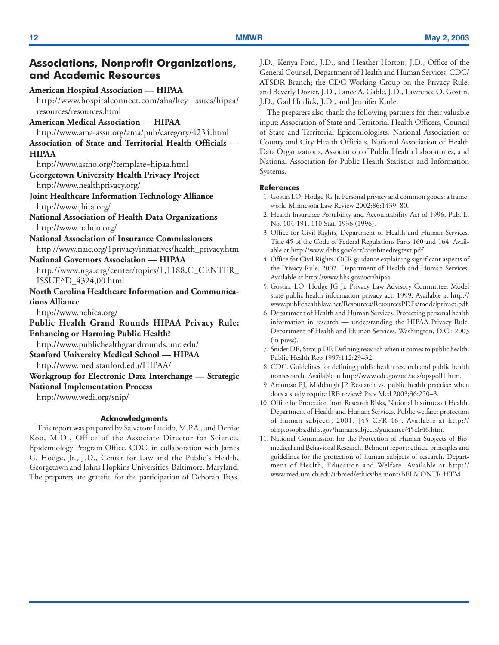# <span id="page-13-0"></span>**Associations, Nonprofit Organizations, and Academic Resources**

### **American Hospital Association — HIPAA**

[http://www.hospitalconnect.com/aha/key\\_issues/hipaa/](http://www.hospitalconnect.com/aha/key_issues/hipaa/) resources/resources.html

### **American Medical Association — HIPAA**

<http://www.ama-assn.org/ama/pub/category/4234.html> **Association of State and Territorial Health Officials — HIPAA**

<http://www.astho.org/?template=hipaa.html> **Georgetown University Health Privacy Project** <http://www.healthprivacy.org/>

**Joint Healthcare Information Technology Alliance** <http://www.jhita.org/>

**National Association of Health Data Organizations** <http://www.nahdo.org/>

#### **National Association of Insurance Commissioners**

[http://www.naic.org/1privacy/initiatives/health\\_privacy.htm](http://www.naic.org/1privacy/initiatives/health_privacy.htm)

**National Governors Association — HIPAA** [http://www.nga.org/center/topics/1,1188,C\\_CENTER\\_](http://www.nga.org/center/topics/1,1188,C_CENTER_ISSUE^D_4324,00.html) ISSUE^D\_4324,00.html

**North Carolina Healthcare Information and Communications Alliance**

<http://www.nchica.org/>

**Public Health Grand Rounds HIPAA Privacy Rule: Enhancing or Harming Public Health?**

<http://www.publichealthgrandrounds.unc.edu/>

**Stanford University Medical School — HIPAA** <http://www.med.stanford.edu/HIPAA/>

**Workgroup for Electronic Data Interchange — Strategic National Implementation Process**

<http://www.wedi.org/snip/>

#### **Acknowledgments**

This report was prepared by Salvatore Lucido, M.P.A., and Denise Koo, M.D., Office of the Associate Director for Science, Epidemiology Program Office, CDC, in collaboration with James G. Hodge, Jr., J.D., Center for Law and the Public's Health, Georgetown and Johns Hopkins Universities, Baltimore, Maryland. The preparers are grateful for the participation of Deborah Tress,

J.D., Kenya Ford, J.D., and Heather Horton, J.D., Office of the General Counsel, Department of Health and Human Services, CDC/ ATSDR Branch; the CDC Working Group on the Privacy Rule; and Beverly Dozier, J.D., Lance A. Gable, J.D., Lawrence O. Gostin, J.D., Gail Horlick, J.D., and Jennifer Kurle.

The preparers also thank the following partners for their valuable input: Association of State and Territorial Health Officers, Council of State and Territorial Epidemiologists, National Association of County and City Health Officials, National Association of Health Data Organizations, Association of Public Health Laboratories, and National Association for Public Health Statistics and Information Systems.

#### **References**

- 1. Gostin LO, Hodge JG Jr. Personal privacy and common goods: a framework. Minnesota Law Review 2002;86:1439–80.
- 2. Health Insurance Portability and Accountability Act of 1996. Pub. L. No. 104-191, 110 Stat. 1936 (1996).

3. Office for Civil Rights, Department of Health and Human Services. Title 45 of the Code of Federal Regulations Parts 160 and 164. Available at [http://www.dhhs.gov/ocr/combinedregtext.pdf.](http://www.dhhs.gov/ocr/combinedregtext.pdf)

4. Office for Civil Rights. OCR guidance explaining significant aspects of the Privacy Rule, 2002. Department of Health and Human Services. Available at [http://www.hhs.gov/ocr/hipaa.](http://www.hhs.gov/ocr/hipaa)

5. Gostin, LO, Hodge JG Jr. Privacy Law Advisory Committee. Model state public health information privacy act, 1999. Available a[t http://](http://www.publichealthlaw.net/Resources/ResourcesPDFs/modelprivact.pdf) [www.publichealthlaw.net/Resources/ResourcesPDFs/modelprivact.pdf.](http://www.publichealthlaw.net/Resources/ResourcesPDFs/modelprivact.pdf)

6. Department of Health and Human Services. Protecting personal health information in research — understanding the HIPAA Privacy Rule. Department of Health and Human Services. Washington, D.C.: 2003 (in press).

7. Snider DE, Stroup DF. Defining research when it comes to public health. Public Health Rep 1997:112:29–32.

8. CDC. Guidelines for defining public health research and public health nonresearch. Available at [http://www.cdc.gov/od/ads/opspoll1.htm.](http://www.cdc.gov/od/ads/opspoll1.htm)

9. Amoroso PJ, Middaugh JP. Research vs. public health practice: when does a study require IRB review? Prev Med 2003;36:250–3.

10. Office for Protection from Research Risks, National Institutes of Health, Department of Health and Human Services. Public welfare: protection of human subjects, 2001. [45 CFR 46]. Available at [http://](http://ohrp.osophs.dhhs.gov/humansubjects/guidance/45cfr46.htm) [ohrp.osophs.dhhs.gov/humansubjects/guidance/45cfr46.htm.](http://ohrp.osophs.dhhs.gov/humansubjects/guidance/45cfr46.htm)

11. National Commission for the Protection of Human Subjects of Biomedical and Behavioral Research. Belmont report: ethical principles and guidelines for the protection of human subjects of research. Department of Health, Education and Welfare. Available at [http://](http://www.med.umich.edu/irbmed/ethics/belmont/BELMONTR.HTM) [www.med.umich.edu/irbmed/ethics/belmont/BELMONTR.HTM.](http://www.med.umich.edu/irbmed/ethics/belmont/BELMONTR.HTM)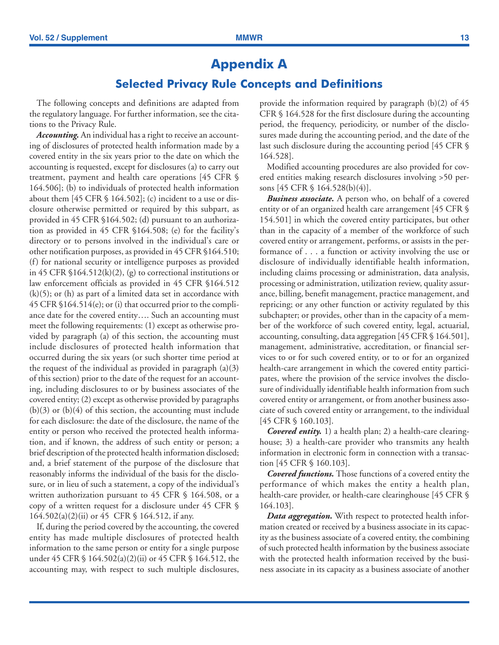# **Appendix A**

### **Selected Privacy Rule Concepts and Definitions**

<span id="page-14-0"></span>The following concepts and definitions are adapted from the regulatory language. For further information, see the citations to the Privacy Rule.

*Accounting.* An individual has a right to receive an accounting of disclosures of protected health information made by a covered entity in the six years prior to the date on which the accounting is requested, except for disclosures (a) to carry out treatment, payment and health care operations [45 CFR § 164.506]; (b) to individuals of protected health information about them  $[45 \text{ CFR} \$  164.502]; (c) incident to a use or disclosure otherwise permitted or required by this subpart, as provided in 45 CFR §164.502; (d) pursuant to an authorization as provided in 45 CFR §164.508; (e) for the facility's directory or to persons involved in the individual's care or other notification purposes, as provided in 45 CFR §164.510; (f) for national security or intelligence purposes as provided in 45 CFR  $$164.512(k)(2)$ , (g) to correctional institutions or law enforcement officials as provided in 45 CFR §164.512  $(k)(5)$ ; or (h) as part of a limited data set in accordance with 45 CFR §164.514(e); or (i) that occurred prior to the compliance date for the covered entity…. Such an accounting must meet the following requirements: (1) except as otherwise provided by paragraph (a) of this section, the accounting must include disclosures of protected health information that occurred during the six years (or such shorter time period at the request of the individual as provided in paragraph  $(a)(3)$ of this section) prior to the date of the request for an accounting, including disclosures to or by business associates of the covered entity; (2) except as otherwise provided by paragraphs  $(b)(3)$  or  $(b)(4)$  of this section, the accounting must include for each disclosure: the date of the disclosure, the name of the entity or person who received the protected health information, and if known, the address of such entity or person; a brief description of the protected health information disclosed; and, a brief statement of the purpose of the disclosure that reasonably informs the individual of the basis for the disclosure, or in lieu of such a statement, a copy of the individual's written authorization pursuant to 45 CFR § 164.508, or a copy of a written request for a disclosure under 45 CFR § 164.502(a)(2)(ii) or 45 CFR § 164.512, if any.

If, during the period covered by the accounting, the covered entity has made multiple disclosures of protected health information to the same person or entity for a single purpose under 45 CFR § 164.502(a)(2)(ii) or 45 CFR § 164.512, the accounting may, with respect to such multiple disclosures,

provide the information required by paragraph (b)(2) of 45 CFR § 164.528 for the first disclosure during the accounting period, the frequency, periodicity, or number of the disclosures made during the accounting period, and the date of the last such disclosure during the accounting period [45 CFR § 164.528].

Modified accounting procedures are also provided for covered entities making research disclosures involving >50 persons [45 CFR § 164.528(b)(4)].

*Business associate.* A person who, on behalf of a covered entity or of an organized health care arrangement [45 CFR § 154.501] in which the covered entity participates, but other than in the capacity of a member of the workforce of such covered entity or arrangement, performs, or assists in the performance of . . . a function or activity involving the use or disclosure of individually identifiable health information, including claims processing or administration, data analysis, processing or administration, utilization review, quality assurance, billing, benefit management, practice management, and repricing; or any other function or activity regulated by this subchapter; or provides, other than in the capacity of a member of the workforce of such covered entity, legal, actuarial, accounting, consulting, data aggregation [45 CFR § 164.501], management, administrative, accreditation, or financial services to or for such covered entity, or to or for an organized health-care arrangement in which the covered entity participates, where the provision of the service involves the disclosure of individually identifiable health information from such covered entity or arrangement, or from another business associate of such covered entity or arrangement, to the individual [45 CFR § 160.103].

*Covered entity.* 1) a health plan; 2) a health-care clearinghouse; 3) a health-care provider who transmits any health information in electronic form in connection with a transaction [45 CFR § 160.103].

*Covered functions.* Those functions of a covered entity the performance of which makes the entity a health plan, health-care provider, or health-care clearinghouse [45 CFR § 164.103].

*Data aggregation.* With respect to protected health information created or received by a business associate in its capacity as the business associate of a covered entity, the combining of such protected health information by the business associate with the protected health information received by the business associate in its capacity as a business associate of another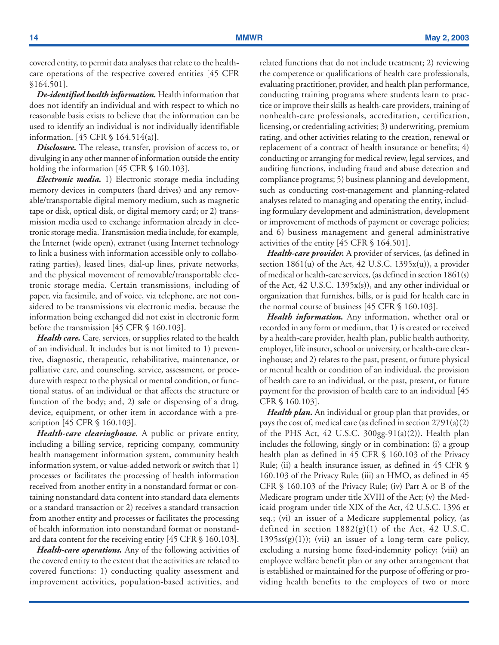covered entity, to permit data analyses that relate to the healthcare operations of the respective covered entities [45 CFR §164.501].

*De-identified health information.* Health information that does not identify an individual and with respect to which no reasonable basis exists to believe that the information can be used to identify an individual is not individually identifiable information. [45 CFR § 164.514(a)].

*Disclosure.* The release, transfer, provision of access to, or divulging in any other manner of information outside the entity holding the information [45 CFR § 160.103].

*Electronic media.* 1) Electronic storage media including memory devices in computers (hard drives) and any removable/transportable digital memory medium, such as magnetic tape or disk, optical disk, or digital memory card; or 2) transmission media used to exchange information already in electronic storage media. Transmission media include, for example, the Internet (wide open), extranet (using Internet technology to link a business with information accessible only to collaborating parties), leased lines, dial-up lines, private networks, and the physical movement of removable/transportable electronic storage media. Certain transmissions, including of paper, via facsimile, and of voice, via telephone, are not considered to be transmissions via electronic media, because the information being exchanged did not exist in electronic form before the transmission [45 CFR § 160.103].

*Health care.* Care, services, or supplies related to the health of an individual. It includes but is not limited to 1) preventive, diagnostic, therapeutic, rehabilitative, maintenance, or palliative care, and counseling, service, assessment, or procedure with respect to the physical or mental condition, or functional status, of an individual or that affects the structure or function of the body; and, 2) sale or dispensing of a drug, device, equipment, or other item in accordance with a prescription [45 CFR § 160.103].

*Health-care clearinghouse.* A public or private entity, including a billing service, repricing company, community health management information system, community health information system, or value-added network or switch that 1) processes or facilitates the processing of health information received from another entity in a nonstandard format or containing nonstandard data content into standard data elements or a standard transaction or 2) receives a standard transaction from another entity and processes or facilitates the processing of health information into nonstandard format or nonstandard data content for the receiving entity [45 CFR § 160.103].

*Health-care operations.* Any of the following activities of the covered entity to the extent that the activities are related to covered functions: 1) conducting quality assessment and improvement activities, population-based activities, and related functions that do not include treatment; 2) reviewing the competence or qualifications of health care professionals, evaluating practitioner, provider, and health plan performance, conducting training programs where students learn to practice or improve their skills as health-care providers, training of nonhealth-care professionals, accreditation, certification, licensing, or credentialing activities; 3) underwriting, premium rating, and other activities relating to the creation, renewal or replacement of a contract of health insurance or benefits; 4) conducting or arranging for medical review, legal services, and auditing functions, including fraud and abuse detection and compliance programs; 5) business planning and development, such as conducting cost-management and planning-related analyses related to managing and operating the entity, including formulary development and administration, development or improvement of methods of payment or coverage policies; and 6) business management and general administrative activities of the entity [45 CFR § 164.501].

*Health-care provider.* A provider of services, (as defined in section  $1861(u)$  of the Act, 42 U.S.C.  $1395x(u)$ , a provider of medical or health-care services, (as defined in section 1861(s) of the Act, 42 U.S.C. 1395x(s)), and any other individual or organization that furnishes, bills, or is paid for health care in the normal course of business [45 CFR § 160.103].

*Health information.* Any information, whether oral or recorded in any form or medium, that 1) is created or received by a health-care provider, health plan, public health authority, employer, life insurer, school or university, or health-care clearinghouse; and 2) relates to the past, present, or future physical or mental health or condition of an individual, the provision of health care to an individual, or the past, present, or future payment for the provision of health care to an individual [45 CFR § 160.103].

*Health plan.* An individual or group plan that provides, or pays the cost of, medical care (as defined in section 2791(a)(2) of the PHS Act, 42 U.S.C. 300gg-91(a)(2)). Health plan includes the following, singly or in combination: (i) a group health plan as defined in 45 CFR § 160.103 of the Privacy Rule; (ii) a health insurance issuer, as defined in 45 CFR § 160.103 of the Privacy Rule; (iii) an HMO, as defined in 45 CFR § 160.103 of the Privacy Rule; (iv) Part A or B of the Medicare program under title XVIII of the Act; (v) the Medicaid program under title XIX of the Act, 42 U.S.C. 1396 et seq.; (vi) an issuer of a Medicare supplemental policy, (as defined in section  $1882(g)(1)$  of the Act, 42 U.S.C.  $1395ss(g)(1)$ ; (vii) an issuer of a long-term care policy, excluding a nursing home fixed-indemnity policy; (viii) an employee welfare benefit plan or any other arrangement that is established or maintained for the purpose of offering or providing health benefits to the employees of two or more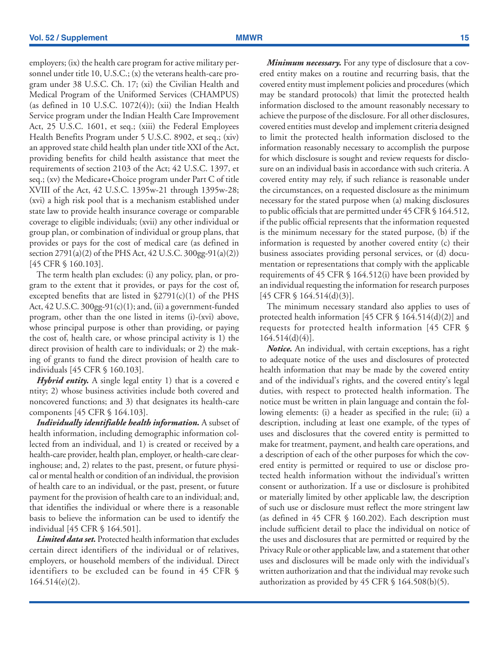employers; (ix) the health care program for active military personnel under title 10, U.S.C.; (x) the veterans health-care program under 38 U.S.C. Ch. 17; (xi) the Civilian Health and Medical Program of the Uniformed Services (CHAMPUS) (as defined in 10 U.S.C. 1072(4)); (xii) the Indian Health Service program under the Indian Health Care Improvement Act, 25 U.S.C. 1601, et seq.; (xiii) the Federal Employees Health Benefits Program under 5 U.S.C. 8902, et seq.; (xiv) an approved state child health plan under title XXI of the Act, providing benefits for child health assistance that meet the requirements of section 2103 of the Act; 42 U.S.C. 1397, et seq.; (xv) the Medicare+Choice program under Part C of title XVIII of the Act, 42 U.S.C. 1395w-21 through 1395w-28; (xvi) a high risk pool that is a mechanism established under state law to provide health insurance coverage or comparable coverage to eligible individuals; (xvii) any other individual or group plan, or combination of individual or group plans, that provides or pays for the cost of medical care (as defined in section 2791(a)(2) of the PHS Act, 42 U.S.C. 300gg-91(a)(2)) [45 CFR § 160.103].

The term health plan excludes: (i) any policy, plan, or program to the extent that it provides, or pays for the cost of, excepted benefits that are listed in §2791(c)(1) of the PHS Act, 42 U.S.C. 300gg-91(c)(1); and, (ii) a government-funded program, other than the one listed in items (i)-(xvi) above, whose principal purpose is other than providing, or paying the cost of, health care, or whose principal activity is 1) the direct provision of health care to individuals; or 2) the making of grants to fund the direct provision of health care to individuals [45 CFR § 160.103].

*Hybrid entity*. A single legal entity 1) that is a covered e ntity; 2) whose business activities include both covered and noncovered functions; and 3) that designates its health-care components [45 CFR § 164.103].

*Individually identifiable health information.* A subset of health information, including demographic information collected from an individual, and 1) is created or received by a health-care provider, health plan, employer, or health-care clearinghouse; and, 2) relates to the past, present, or future physical or mental health or condition of an individual, the provision of health care to an individual, or the past, present, or future payment for the provision of health care to an individual; and, that identifies the individual or where there is a reasonable basis to believe the information can be used to identify the individual [45 CFR § 164.501].

*Limited data set.* Protected health information that excludes certain direct identifiers of the individual or of relatives, employers, or household members of the individual. Direct identifiers to be excluded can be found in 45 CFR § 164.514(e)(2).

*Minimum necessary.* For any type of disclosure that a covered entity makes on a routine and recurring basis, that the covered entity must implement policies and procedures (which may be standard protocols) that limit the protected health information disclosed to the amount reasonably necessary to achieve the purpose of the disclosure. For all other disclosures, covered entities must develop and implement criteria designed to limit the protected health information disclosed to the information reasonably necessary to accomplish the purpose for which disclosure is sought and review requests for disclosure on an individual basis in accordance with such criteria. A covered entity may rely, if such reliance is reasonable under the circumstances, on a requested disclosure as the minimum necessary for the stated purpose when (a) making disclosures to public officials that are permitted under 45 CFR § 164.512, if the public official represents that the information requested is the minimum necessary for the stated purpose, (b) if the information is requested by another covered entity (c) their business associates providing personal services, or (d) documentation or representations that comply with the applicable requirements of 45 CFR § 164.512(i) have been provided by an individual requesting the information for research purposes [45 CFR § 164.514(d)(3)].

The minimum necessary standard also applies to uses of protected health information [45 CFR § 164.514(d)(2)] and requests for protected health information [45 CFR § 164.514(d)(4)].

*Notice.* An individual, with certain exceptions, has a right to adequate notice of the uses and disclosures of protected health information that may be made by the covered entity and of the individual's rights, and the covered entity's legal duties, with respect to protected health information. The notice must be written in plain language and contain the following elements: (i) a header as specified in the rule; (ii) a description, including at least one example, of the types of uses and disclosures that the covered entity is permitted to make for treatment, payment, and health care operations, and a description of each of the other purposes for which the covered entity is permitted or required to use or disclose protected health information without the individual's written consent or authorization. If a use or disclosure is prohibited or materially limited by other applicable law, the description of such use or disclosure must reflect the more stringent law (as defined in 45 CFR § 160.202). Each description must include sufficient detail to place the individual on notice of the uses and disclosures that are permitted or required by the Privacy Rule or other applicable law, and a statement that other uses and disclosures will be made only with the individual's written authorization and that the individual may revoke such authorization as provided by 45 CFR § 164.508(b)(5).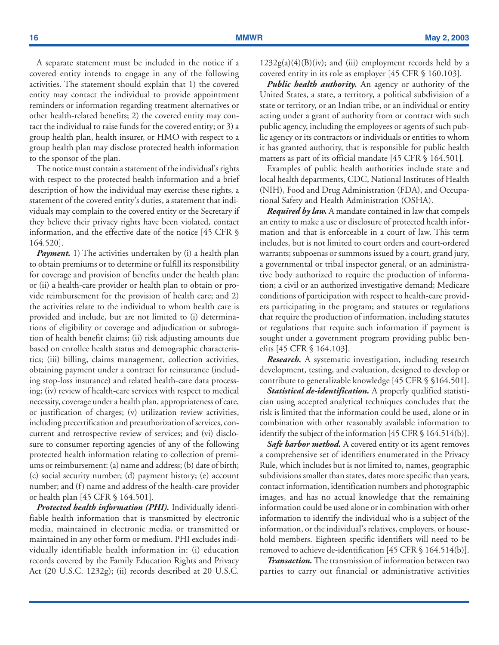A separate statement must be included in the notice if a covered entity intends to engage in any of the following activities. The statement should explain that 1) the covered entity may contact the individual to provide appointment reminders or information regarding treatment alternatives or other health-related benefits; 2) the covered entity may contact the individual to raise funds for the covered entity; or 3) a group health plan, health insurer, or HMO with respect to a group health plan may disclose protected health information to the sponsor of the plan.

The notice must contain a statement of the individual's rights with respect to the protected health information and a brief description of how the individual may exercise these rights, a statement of the covered entity's duties, a statement that individuals may complain to the covered entity or the Secretary if they believe their privacy rights have been violated, contact information, and the effective date of the notice [45 CFR § 164.520].

*Payment.* 1) The activities undertaken by (i) a health plan to obtain premiums or to determine or fulfill its responsibility for coverage and provision of benefits under the health plan; or (ii) a health-care provider or health plan to obtain or provide reimbursement for the provision of health care; and 2) the activities relate to the individual to whom health care is provided and include, but are not limited to (i) determinations of eligibility or coverage and adjudication or subrogation of health benefit claims; (ii) risk adjusting amounts due based on enrollee health status and demographic characteristics; (iii) billing, claims management, collection activities, obtaining payment under a contract for reinsurance (including stop-loss insurance) and related health-care data processing; (iv) review of health-care services with respect to medical necessity, coverage under a health plan, appropriateness of care, or justification of charges; (v) utilization review activities, including precertification and preauthorization of services, concurrent and retrospective review of services; and (vi) disclosure to consumer reporting agencies of any of the following protected health information relating to collection of premiums or reimbursement: (a) name and address; (b) date of birth; (c) social security number; (d) payment history; (e) account number; and (f) name and address of the health-care provider or health plan [45 CFR § 164.501].

*Protected health information (PHI).* Individually identifiable health information that is transmitted by electronic media, maintained in electronic media, or transmitted or maintained in any other form or medium. PHI excludes individually identifiable health information in: (i) education records covered by the Family Education Rights and Privacy Act (20 U.S.C. 1232g); (ii) records described at 20 U.S.C.

 $1232g(a)(4)(B)(iv)$ ; and (iii) employment records held by a covered entity in its role as employer [45 CFR § 160.103].

*Public health authority.* An agency or authority of the United States, a state, a territory, a political subdivision of a state or territory, or an Indian tribe, or an individual or entity acting under a grant of authority from or contract with such public agency, including the employees or agents of such public agency or its contractors or individuals or entities to whom it has granted authority, that is responsible for public health matters as part of its official mandate [45 CFR § 164.501].

Examples of public health authorities include state and local health departments, CDC, National Institutes of Health (NIH), Food and Drug Administration (FDA), and Occupational Safety and Health Administration (OSHA).

*Required by law.* A mandate contained in law that compels an entity to make a use or disclosure of protected health information and that is enforceable in a court of law. This term includes, but is not limited to court orders and court-ordered warrants; subpoenas or summons issued by a court, grand jury, a governmental or tribal inspector general, or an administrative body authorized to require the production of information; a civil or an authorized investigative demand; Medicare conditions of participation with respect to health-care providers participating in the program; and statutes or regulations that require the production of information, including statutes or regulations that require such information if payment is sought under a government program providing public benefits [45 CFR § 164.103].

*Research.* A systematic investigation, including research development, testing, and evaluation, designed to develop or contribute to generalizable knowledge [45 CFR § §164.501].

*Statistical de-identification.* A properly qualified statistician using accepted analytical techniques concludes that the risk is limited that the information could be used, alone or in combination with other reasonably available information to identify the subject of the information [45 CFR § 164.514(b)].

*Safe harbor method.* A covered entity or its agent removes a comprehensive set of identifiers enumerated in the Privacy Rule, which includes but is not limited to, names, geographic subdivisions smaller than states, dates more specific than years, contact information, identification numbers and photographic images, and has no actual knowledge that the remaining information could be used alone or in combination with other information to identify the individual who is a subject of the information, or the individual's relatives, employers, or household members. Eighteen specific identifiers will need to be removed to achieve de-identification [45 CFR § 164.514(b)].

*Transaction.* The transmission of information between two parties to carry out financial or administrative activities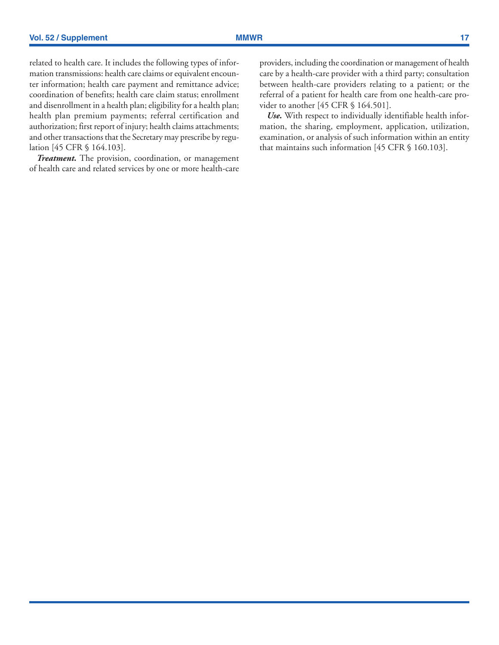related to health care. It includes the following types of information transmissions: health care claims or equivalent encounter information; health care payment and remittance advice; coordination of benefits; health care claim status; enrollment and disenrollment in a health plan; eligibility for a health plan; health plan premium payments; referral certification and authorization; first report of injury; health claims attachments; and other transactions that the Secretary may prescribe by regulation [45 CFR § 164.103].

*Treatment.* The provision, coordination, or management of health care and related services by one or more health-care providers, including the coordination or management of health care by a health-care provider with a third party; consultation between health-care providers relating to a patient; or the referral of a patient for health care from one health-care provider to another [45 CFR § 164.501].

*Use.* With respect to individually identifiable health information, the sharing, employment, application, utilization, examination, or analysis of such information within an entity that maintains such information [45 CFR § 160.103].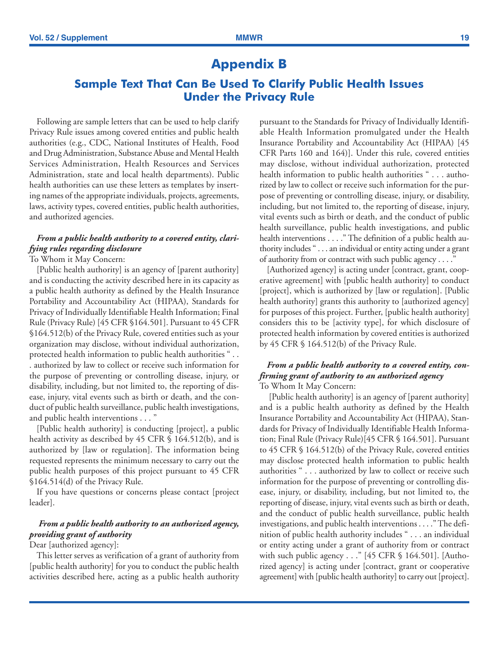# **Appendix B**

# <span id="page-20-0"></span>**Sample Text That Can Be Used To Clarify Public Health Issues Under the Privacy Rule**

Following are sample letters that can be used to help clarify Privacy Rule issues among covered entities and public health authorities (e.g., CDC, National Institutes of Health, Food and Drug Administration, Substance Abuse and Mental Health Services Administration, Health Resources and Services Administration, state and local health departments). Public health authorities can use these letters as templates by inserting names of the appropriate individuals, projects, agreements, laws, activity types, covered entities, public health authorities, and authorized agencies.

### *From a public health authority to a covered entity, clarifying rules regarding disclosure*

To Whom it May Concern:

[Public health authority] is an agency of [parent authority] and is conducting the activity described here in its capacity as a public health authority as defined by the Health Insurance Portability and Accountability Act (HIPAA), Standards for Privacy of Individually Identifiable Health Information; Final Rule (Privacy Rule) [45 CFR §164.501]. Pursuant to 45 CFR §164.512(b) of the Privacy Rule, covered entities such as your organization may disclose, without individual authorization, protected health information to public health authorities " . . . authorized by law to collect or receive such information for the purpose of preventing or controlling disease, injury, or disability, including, but not limited to, the reporting of disease, injury, vital events such as birth or death, and the conduct of public health surveillance, public health investigations, and public health interventions . . . "

[Public health authority] is conducting [project], a public health activity as described by 45 CFR  $\S$  164.512(b), and is authorized by [law or regulation]. The information being requested represents the minimum necessary to carry out the public health purposes of this project pursuant to 45 CFR §164.514(d) of the Privacy Rule.

If you have questions or concerns please contact [project leader].

### *From a public health authority to an authorized agency, providing grant of authority*

### Dear [authorized agency]:

This letter serves as verification of a grant of authority from [public health authority] for you to conduct the public health activities described here, acting as a public health authority pursuant to the Standards for Privacy of Individually Identifiable Health Information promulgated under the Health Insurance Portability and Accountability Act (HIPAA) [45 CFR Parts 160 and 164)]. Under this rule, covered entities may disclose, without individual authorization, protected health information to public health authorities " . . . authorized by law to collect or receive such information for the purpose of preventing or controlling disease, injury, or disability, including, but not limited to, the reporting of disease, injury, vital events such as birth or death, and the conduct of public health surveillance, public health investigations, and public health interventions . . . ." The definition of a public health authority includes " . . . an individual or entity acting under a grant of authority from or contract with such public agency . . . ."

[Authorized agency] is acting under [contract, grant, cooperative agreement] with [public health authority] to conduct [project], which is authorized by [law or regulation]. [Public health authority] grants this authority to [authorized agency] for purposes of this project. Further, [public health authority] considers this to be [activity type], for which disclosure of protected health information by covered entities is authorized by 45 CFR § 164.512(b) of the Privacy Rule.

### *From a public health authority to a covered entity, confirming grant of authority to an authorized agency* To Whom It May Concern:

 [Public health authority] is an agency of [parent authority] and is a public health authority as defined by the Health Insurance Portability and Accountability Act (HIPAA), Standards for Privacy of Individually Identifiable Health Information; Final Rule (Privacy Rule)[45 CFR § 164.501]. Pursuant to 45 CFR § 164.512(b) of the Privacy Rule, covered entities may disclose protected health information to public health authorities " . . . authorized by law to collect or receive such information for the purpose of preventing or controlling disease, injury, or disability, including, but not limited to, the reporting of disease, injury, vital events such as birth or death, and the conduct of public health surveillance, public health investigations, and public health interventions . . . ." The definition of public health authority includes " . . . an individual or entity acting under a grant of authority from or contract with such public agency . . ." [45 CFR § 164.501]. [Authorized agency] is acting under [contract, grant or cooperative agreement] with [public health authority] to carry out [project].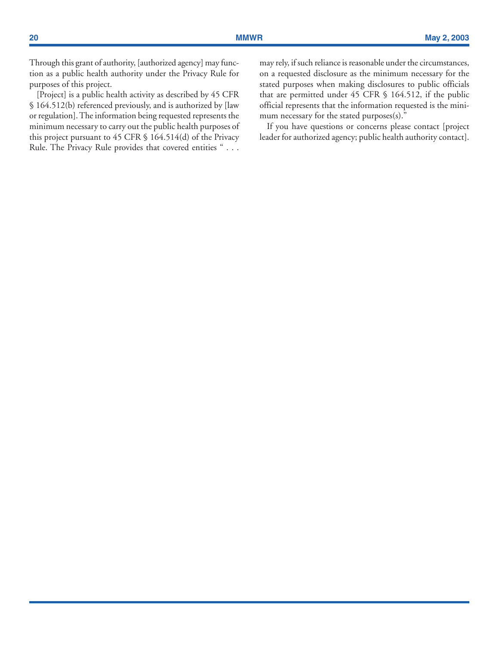Through this grant of authority, [authorized agency] may function as a public health authority under the Privacy Rule for purposes of this project.

[Project] is a public health activity as described by 45 CFR § 164.512(b) referenced previously, and is authorized by [law or regulation]. The information being requested represents the minimum necessary to carry out the public health purposes of this project pursuant to 45 CFR  $\S$  164.514(d) of the Privacy Rule. The Privacy Rule provides that covered entities " . . . may rely, if such reliance is reasonable under the circumstances, on a requested disclosure as the minimum necessary for the stated purposes when making disclosures to public officials that are permitted under 45 CFR § 164.512, if the public official represents that the information requested is the minimum necessary for the stated purposes(s)."

If you have questions or concerns please contact [project leader for authorized agency; public health authority contact].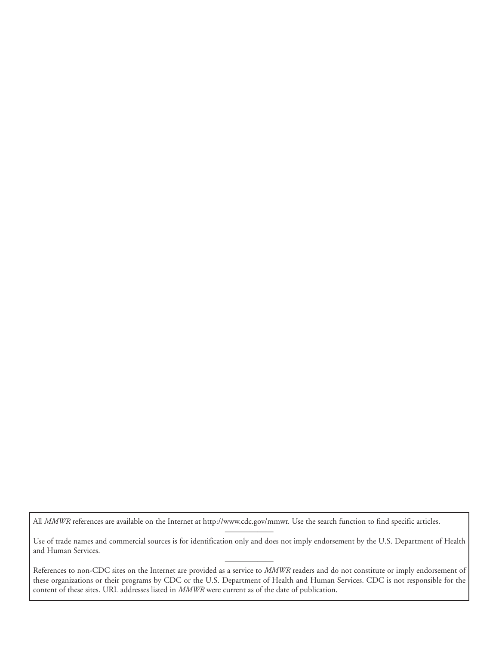All *MMWR* references are available on the Internet at [http://www.cdc.gov/mmwr.](http://www.cdc.gov/mmwr) Use the search function to find specific articles.

—————— Use of trade names and commercial sources is for identification only and does not imply endorsement by the U.S. Department of Health and Human Services. ——————

References to non-CDC sites on the Internet are provided as a service to *MMWR* readers and do not constitute or imply endorsement of these organizations or their programs by CDC or the U.S. Department of Health and Human Services. CDC is not responsible for the content of these sites. URL addresses listed in *MMWR* were current as of the date of publication.